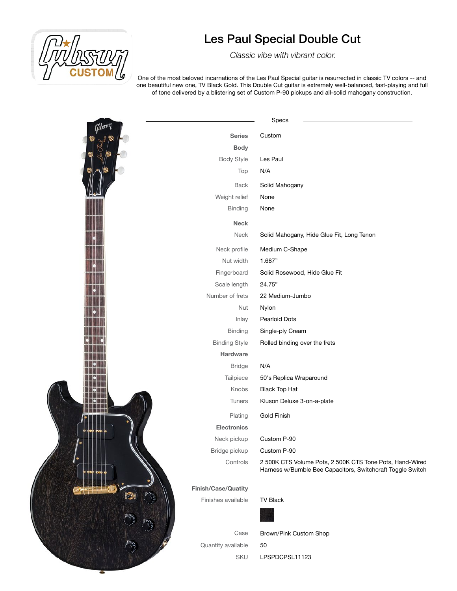

## Les Paul Special Double Cut

 *Classic vibe with vibrant color.* 

One of the most beloved incarnations of the Les Paul Special guitar is resurrected in classic TV colors -- and one beautiful new one, TV Black Gold. This Double Cut guitar is extremely well-balanced, fast-playing and full of tone delivered by a blistering set of Custom P-90 pickups and all-solid mahogany construction.

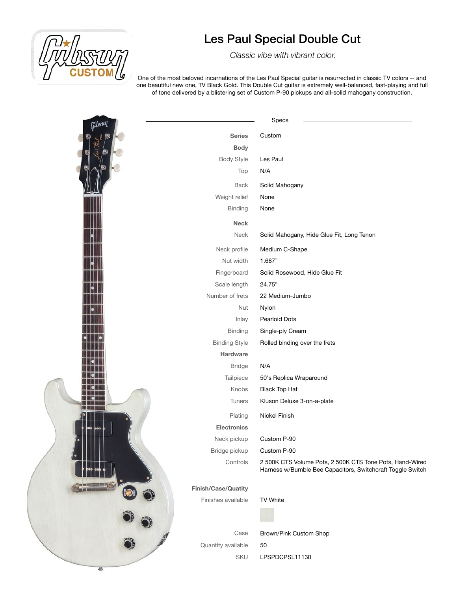

## Les Paul Special Double Cut

 *Classic vibe with vibrant color.* 

One of the most beloved incarnations of the Les Paul Special guitar is resurrected in classic TV colors -- and one beautiful new one, TV Black Gold. This Double Cut guitar is extremely well-balanced, fast-playing and full of tone delivered by a blistering set of Custom P-90 pickups and all-solid mahogany construction.